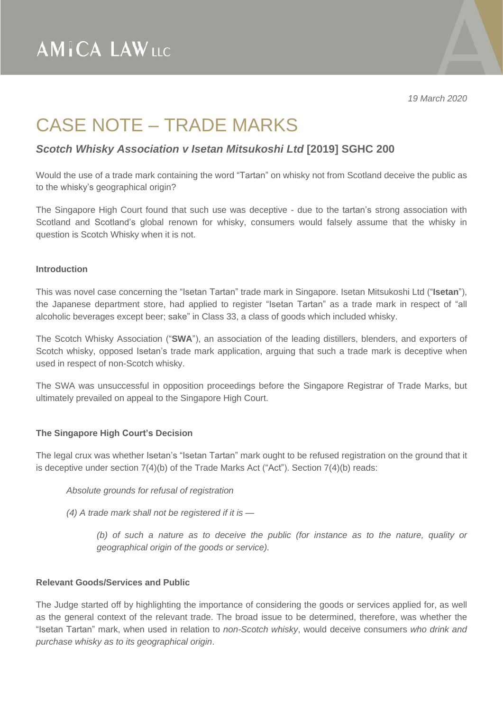*19 March 2020*

### CASE NOTE – TRADE MARKS

### *Scotch Whisky Association v Isetan Mitsukoshi Ltd* **[2019] SGHC 200**

Would the use of a trade mark containing the word "Tartan" on whisky not from Scotland deceive the public as to the whisky's geographical origin?

The Singapore High Court found that such use was deceptive - due to the tartan's strong association with Scotland and Scotland's global renown for whisky, consumers would falsely assume that the whisky in question is Scotch Whisky when it is not.

#### **Introduction**

This was novel case concerning the "Isetan Tartan" trade mark in Singapore. Isetan Mitsukoshi Ltd ("**Isetan**"), the Japanese department store, had applied to register "Isetan Tartan" as a trade mark in respect of "all alcoholic beverages except beer; sake" in Class 33, a class of goods which included whisky.

The Scotch Whisky Association ("**SWA**"), an association of the leading distillers, blenders, and exporters of Scotch whisky, opposed Isetan's trade mark application, arguing that such a trade mark is deceptive when used in respect of non-Scotch whisky.

The SWA was unsuccessful in opposition proceedings before the Singapore Registrar of Trade Marks, but ultimately prevailed on appeal to the Singapore High Court.

#### **The Singapore High Court's Decision**

The legal crux was whether Isetan's "Isetan Tartan" mark ought to be refused registration on the ground that it is deceptive under section 7(4)(b) of the Trade Marks Act ("Act"). Section 7(4)(b) reads:

*Absolute grounds for refusal of registration*

*(4) A trade mark shall not be registered if it is —*

*(b) of such a nature as to deceive the public (for instance as to the nature, quality or geographical origin of the goods or service).*

#### **Relevant Goods/Services and Public**

The Judge started off by highlighting the importance of considering the goods or services applied for, as well as the general context of the relevant trade. The broad issue to be determined, therefore, was whether the "Isetan Tartan" mark, when used in relation to *non-Scotch whisky*, would deceive consumers *who drink and purchase whisky as to its geographical origin*.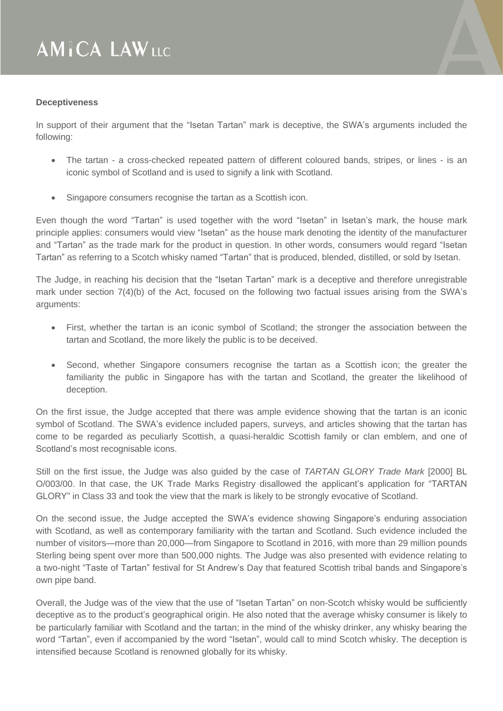## **AMICA LAWLLC**

#### **Deceptiveness**

In support of their argument that the "Isetan Tartan" mark is deceptive, the SWA's arguments included the following:

- The tartan a cross-checked repeated pattern of different coloured bands, stripes, or lines is an iconic symbol of Scotland and is used to signify a link with Scotland.
- Singapore consumers recognise the tartan as a Scottish icon.

Even though the word "Tartan" is used together with the word "Isetan" in Isetan's mark, the house mark principle applies: consumers would view "Isetan" as the house mark denoting the identity of the manufacturer and "Tartan" as the trade mark for the product in question. In other words, consumers would regard "Isetan Tartan" as referring to a Scotch whisky named "Tartan" that is produced, blended, distilled, or sold by Isetan.

The Judge, in reaching his decision that the "Isetan Tartan" mark is a deceptive and therefore unregistrable mark under section 7(4)(b) of the Act, focused on the following two factual issues arising from the SWA's arguments:

- First, whether the tartan is an iconic symbol of Scotland; the stronger the association between the tartan and Scotland, the more likely the public is to be deceived.
- Second, whether Singapore consumers recognise the tartan as a Scottish icon; the greater the familiarity the public in Singapore has with the tartan and Scotland, the greater the likelihood of deception.

On the first issue, the Judge accepted that there was ample evidence showing that the tartan is an iconic symbol of Scotland. The SWA's evidence included papers, surveys, and articles showing that the tartan has come to be regarded as peculiarly Scottish, a quasi-heraldic Scottish family or clan emblem, and one of Scotland's most recognisable icons.

Still on the first issue, the Judge was also guided by the case of *TARTAN GLORY Trade Mark* [2000] BL O/003/00. In that case, the UK Trade Marks Registry disallowed the applicant's application for "TARTAN GLORY" in Class 33 and took the view that the mark is likely to be strongly evocative of Scotland.

On the second issue, the Judge accepted the SWA's evidence showing Singapore's enduring association with Scotland, as well as contemporary familiarity with the tartan and Scotland. Such evidence included the number of visitors—more than 20,000—from Singapore to Scotland in 2016, with more than 29 million pounds Sterling being spent over more than 500,000 nights. The Judge was also presented with evidence relating to a two-night "Taste of Tartan" festival for St Andrew's Day that featured Scottish tribal bands and Singapore's own pipe band.

Overall, the Judge was of the view that the use of "Isetan Tartan" on non-Scotch whisky would be sufficiently deceptive as to the product's geographical origin. He also noted that the average whisky consumer is likely to be particularly familiar with Scotland and the tartan; in the mind of the whisky drinker, any whisky bearing the word "Tartan", even if accompanied by the word "Isetan", would call to mind Scotch whisky. The deception is intensified because Scotland is renowned globally for its whisky.